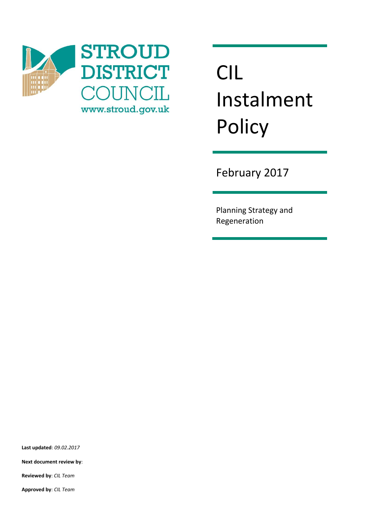

## CIL Instalment **Policy**

February 2017

Planning Strategy and Regeneration

**Last updated**: *09.02.2017*

**Next document review by**:

**Reviewed by**: *CIL Team*

**Approved by**: *CIL Team*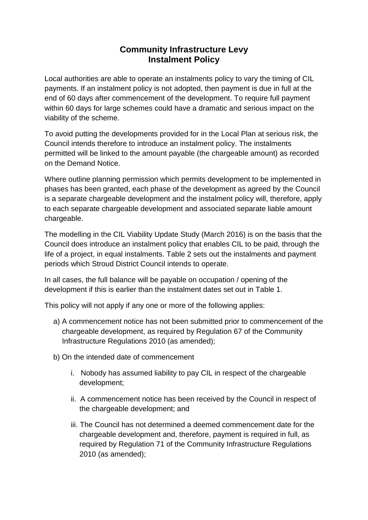## **Community Infrastructure Levy Instalment Policy**

Local authorities are able to operate an instalments policy to vary the timing of CIL payments. If an instalment policy is not adopted, then payment is due in full at the end of 60 days after commencement of the development. To require full payment within 60 days for large schemes could have a dramatic and serious impact on the viability of the scheme.

To avoid putting the developments provided for in the Local Plan at serious risk, the Council intends therefore to introduce an instalment policy. The instalments permitted will be linked to the amount payable (the chargeable amount) as recorded on the Demand Notice.

Where outline planning permission which permits development to be implemented in phases has been granted, each phase of the development as agreed by the Council is a separate chargeable development and the instalment policy will, therefore, apply to each separate chargeable development and associated separate liable amount chargeable.

The modelling in the CIL Viability Update Study (March 2016) is on the basis that the Council does introduce an instalment policy that enables CIL to be paid, through the life of a project, in equal instalments. Table 2 sets out the instalments and payment periods which Stroud District Council intends to operate.

In all cases, the full balance will be payable on occupation / opening of the development if this is earlier than the instalment dates set out in Table 1.

This policy will not apply if any one or more of the following applies:

- a) A commencement notice has not been submitted prior to commencement of the chargeable development, as required by Regulation 67 of the Community Infrastructure Regulations 2010 (as amended);
- b) On the intended date of commencement
	- i. Nobody has assumed liability to pay CIL in respect of the chargeable development;
	- ii. A commencement notice has been received by the Council in respect of the chargeable development; and
	- iii. The Council has not determined a deemed commencement date for the chargeable development and, therefore, payment is required in full, as required by Regulation 71 of the Community Infrastructure Regulations 2010 (as amended);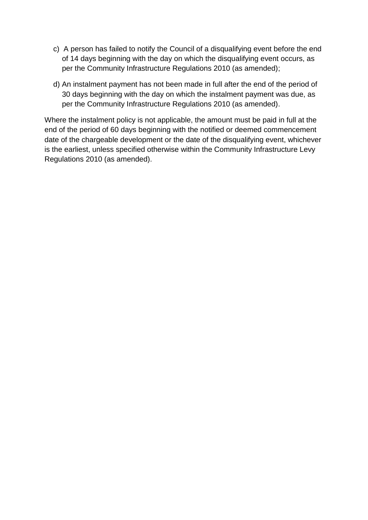- c) A person has failed to notify the Council of a disqualifying event before the end of 14 days beginning with the day on which the disqualifying event occurs, as per the Community Infrastructure Regulations 2010 (as amended);
- d) An instalment payment has not been made in full after the end of the period of 30 days beginning with the day on which the instalment payment was due, as per the Community Infrastructure Regulations 2010 (as amended).

Where the instalment policy is not applicable, the amount must be paid in full at the end of the period of 60 days beginning with the notified or deemed commencement date of the chargeable development or the date of the disqualifying event, whichever is the earliest, unless specified otherwise within the Community Infrastructure Levy Regulations 2010 (as amended).